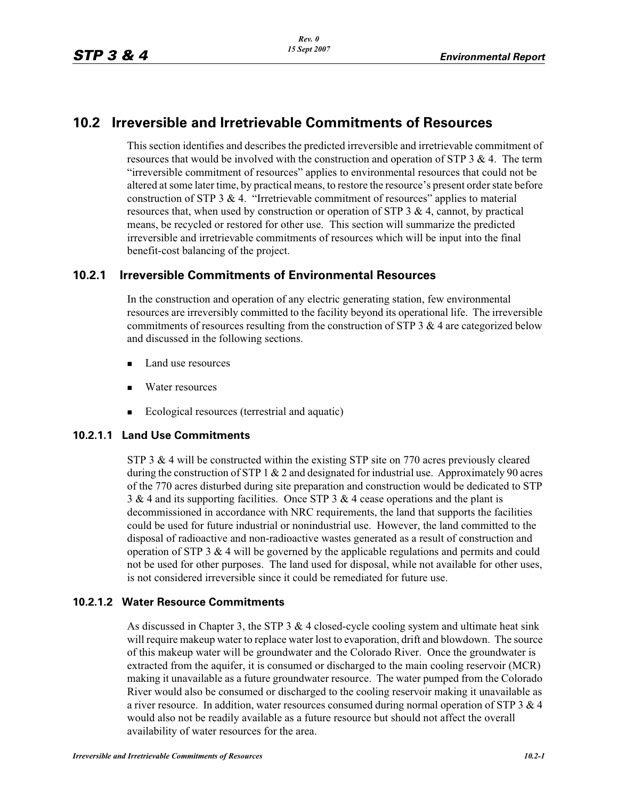# **10.2 Irreversible and Irretrievable Commitments of Resources**

This section identifies and describes the predicted irreversible and irretrievable commitment of resources that would be involved with the construction and operation of STP 3 & 4. The term "irreversible commitment of resources" applies to environmental resources that could not be altered at some later time, by practical means, to restore the resource's present order state before construction of STP 3  $& 4$ . "Irretrievable commitment of resources" applies to material resources that, when used by construction or operation of STP 3  $\&$  4, cannot, by practical means, be recycled or restored for other use. This section will summarize the predicted irreversible and irretrievable commitments of resources which will be input into the final benefit-cost balancing of the project.

# **10.2.1 Irreversible Commitments of Environmental Resources**

In the construction and operation of any electric generating station, few environmental resources are irreversibly committed to the facility beyond its operational life. The irreversible commitments of resources resulting from the construction of STP 3 & 4 are categorized below and discussed in the following sections.

- -Land use resources
- -Water resources
- -Ecological resources (terrestrial and aquatic)

#### **10.2.1.1 Land Use Commitments**

STP 3 & 4 will be constructed within the existing STP site on 770 acres previously cleared during the construction of STP 1  $& 2$  and designated for industrial use. Approximately 90 acres of the 770 acres disturbed during site preparation and construction would be dedicated to STP 3 & 4 and its supporting facilities. Once STP 3 & 4 cease operations and the plant is decommissioned in accordance with NRC requirements, the land that supports the facilities could be used for future industrial or nonindustrial use. However, the land committed to the disposal of radioactive and non-radioactive wastes generated as a result of construction and operation of STP 3  $\&$  4 will be governed by the applicable regulations and permits and could not be used for other purposes. The land used for disposal, while not available for other uses, is not considered irreversible since it could be remediated for future use.

### **10.2.1.2 Water Resource Commitments**

As discussed in Chapter 3, the STP  $3 \& 4$  closed-cycle cooling system and ultimate heat sink will require makeup water to replace water lost to evaporation, drift and blowdown. The source of this makeup water will be groundwater and the Colorado River. Once the groundwater is extracted from the aquifer, it is consumed or discharged to the main cooling reservoir (MCR) making it unavailable as a future groundwater resource. The water pumped from the Colorado River would also be consumed or discharged to the cooling reservoir making it unavailable as a river resource. In addition, water resources consumed during normal operation of STP  $3 \& 4$ would also not be readily available as a future resource but should not affect the overall availability of water resources for the area.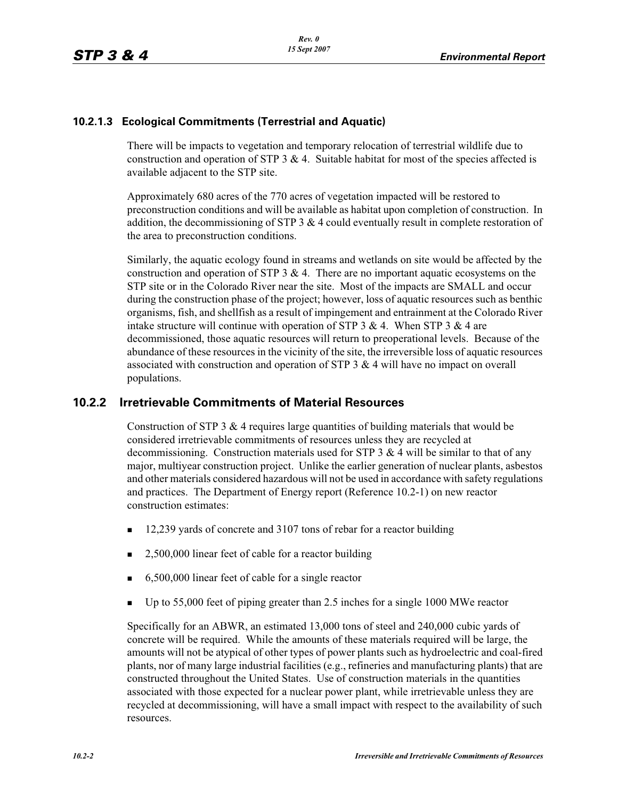## **10.2.1.3 Ecological Commitments (Terrestrial and Aquatic)**

There will be impacts to vegetation and temporary relocation of terrestrial wildlife due to construction and operation of STP 3  $\&$  4. Suitable habitat for most of the species affected is available adjacent to the STP site.

Approximately 680 acres of the 770 acres of vegetation impacted will be restored to preconstruction conditions and will be available as habitat upon completion of construction. In addition, the decommissioning of STP  $3 \& 4$  could eventually result in complete restoration of the area to preconstruction conditions.

Similarly, the aquatic ecology found in streams and wetlands on site would be affected by the construction and operation of STP  $3 \& 4$ . There are no important aquatic ecosystems on the STP site or in the Colorado River near the site. Most of the impacts are SMALL and occur during the construction phase of the project; however, loss of aquatic resources such as benthic organisms, fish, and shellfish as a result of impingement and entrainment at the Colorado River intake structure will continue with operation of STP 3 & 4. When STP 3 & 4 are decommissioned, those aquatic resources will return to preoperational levels. Because of the abundance of these resources in the vicinity of the site, the irreversible loss of aquatic resources associated with construction and operation of STP  $3 \& 4$  will have no impact on overall populations.

## **10.2.2 Irretrievable Commitments of Material Resources**

Construction of STP 3  $&$  4 requires large quantities of building materials that would be considered irretrievable commitments of resources unless they are recycled at decommissioning. Construction materials used for STP 3  $&$  4 will be similar to that of any major, multiyear construction project. Unlike the earlier generation of nuclear plants, asbestos and other materials considered hazardous will not be used in accordance with safety regulations and practices. The Department of Energy report (Reference 10.2-1) on new reactor construction estimates:

- -12,239 yards of concrete and 3107 tons of rebar for a reactor building
- -2,500,000 linear feet of cable for a reactor building
- -6,500,000 linear feet of cable for a single reactor
- -Up to 55,000 feet of piping greater than 2.5 inches for a single 1000 MWe reactor

Specifically for an ABWR, an estimated 13,000 tons of steel and 240,000 cubic yards of concrete will be required. While the amounts of these materials required will be large, the amounts will not be atypical of other types of power plants such as hydroelectric and coal-fired plants, nor of many large industrial facilities (e.g., refineries and manufacturing plants) that are constructed throughout the United States. Use of construction materials in the quantities associated with those expected for a nuclear power plant, while irretrievable unless they are recycled at decommissioning, will have a small impact with respect to the availability of such resources.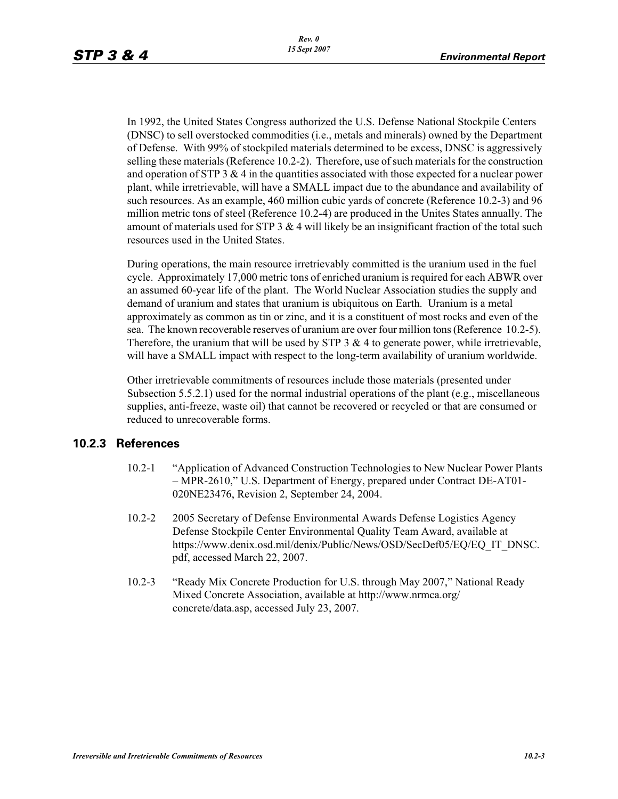In 1992, the United States Congress authorized the U.S. Defense National Stockpile Centers (DNSC) to sell overstocked commodities (i.e., metals and minerals) owned by the Department of Defense. With 99% of stockpiled materials determined to be excess, DNSC is aggressively selling these materials (Reference 10.2-2). Therefore, use of such materials for the construction and operation of STP 3  $&$  4 in the quantities associated with those expected for a nuclear power plant, while irretrievable, will have a SMALL impact due to the abundance and availability of such resources. As an example, 460 million cubic yards of concrete (Reference 10.2-3) and 96 million metric tons of steel (Reference 10.2-4) are produced in the Unites States annually. The amount of materials used for STP 3  $\&$  4 will likely be an insignificant fraction of the total such resources used in the United States.

During operations, the main resource irretrievably committed is the uranium used in the fuel cycle. Approximately 17,000 metric tons of enriched uranium is required for each ABWR over an assumed 60-year life of the plant. The World Nuclear Association studies the supply and demand of uranium and states that uranium is ubiquitous on Earth. Uranium is a metal approximately as common as tin or zinc, and it is a constituent of most rocks and even of the sea. The known recoverable reserves of uranium are over four million tons (Reference 10.2-5). Therefore, the uranium that will be used by STP  $3 \& 4$  to generate power, while irretrievable, will have a SMALL impact with respect to the long-term availability of uranium worldwide.

Other irretrievable commitments of resources include those materials (presented under Subsection 5.5.2.1) used for the normal industrial operations of the plant (e.g., miscellaneous supplies, anti-freeze, waste oil) that cannot be recovered or recycled or that are consumed or reduced to unrecoverable forms.

#### **10.2.3 References**

- 10.2-1 "Application of Advanced Construction Technologies to New Nuclear Power Plants – MPR-2610," U.S. Department of Energy, prepared under Contract DE-AT01- 020NE23476, Revision 2, September 24, 2004.
- 10.2-2 2005 Secretary of Defense Environmental Awards Defense Logistics Agency Defense Stockpile Center Environmental Quality Team Award, available at https://www.denix.osd.mil/denix/Public/News/OSD/SecDef05/EQ/EQ\_IT\_DNSC. pdf, accessed March 22, 2007.
- 10.2-3 "Ready Mix Concrete Production for U.S. through May 2007," National Ready Mixed Concrete Association, available at http://www.nrmca.org/ concrete/data.asp, accessed July 23, 2007.